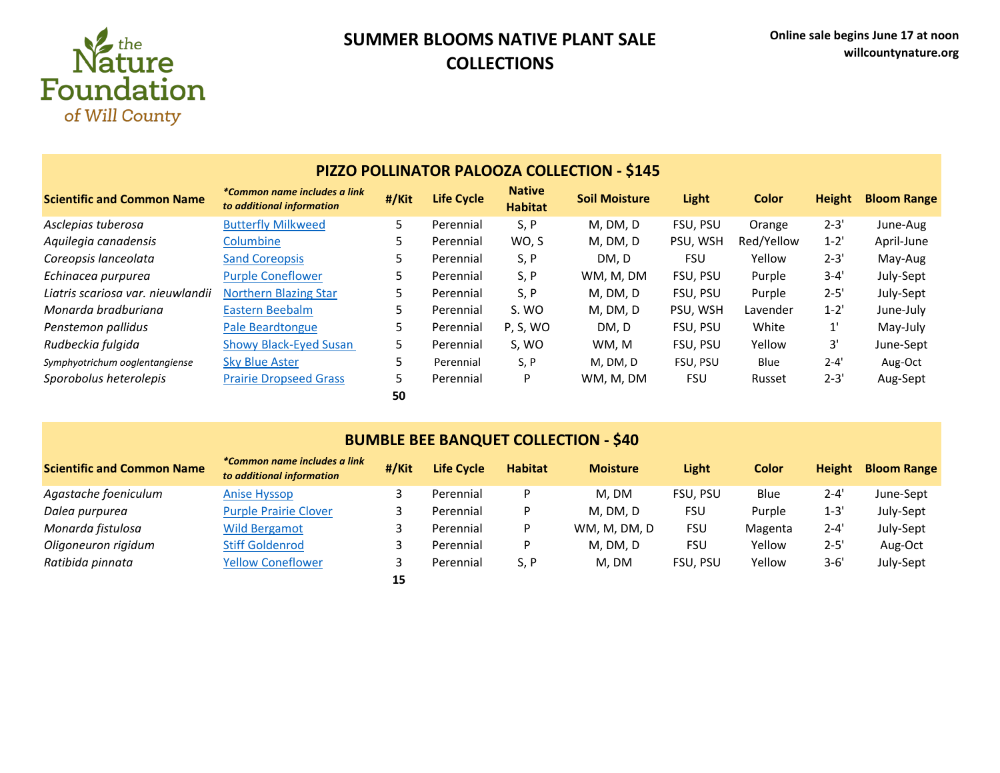

## **SUMMER BLOOMS NATIVE PLANT SALE COLLECTIONS**

| <b>PIZZO POLLINATOR PALOOZA COLLECTION - \$145</b> |                                                           |       |                   |                                 |                      |            |              |               |                    |  |
|----------------------------------------------------|-----------------------------------------------------------|-------|-------------------|---------------------------------|----------------------|------------|--------------|---------------|--------------------|--|
| <b>Scientific and Common Name</b>                  | *Common name includes a link<br>to additional information | #/Kit | <b>Life Cycle</b> | <b>Native</b><br><b>Habitat</b> | <b>Soil Moisture</b> | Light      | <b>Color</b> | <b>Height</b> | <b>Bloom Range</b> |  |
| Asclepias tuberosa                                 | <b>Butterfly Milkweed</b>                                 | 5.    | Perennial         | S, P                            | M, DM, D             | FSU, PSU   | Orange       | $2 - 3'$      | June-Aug           |  |
| Aquilegia canadensis                               | Columbine                                                 | 5.    | Perennial         | WO, S                           | M, DM, D             | PSU, WSH   | Red/Yellow   | $1 - 2'$      | April-June         |  |
| Coreopsis lanceolata                               | <b>Sand Coreopsis</b>                                     | 5     | Perennial         | S, P                            | DM, D                | <b>FSU</b> | Yellow       | $2 - 3'$      | May-Aug            |  |
| Echinacea purpurea                                 | <b>Purple Coneflower</b>                                  | 5.    | Perennial         | S, P                            | WM, M, DM            | FSU. PSU   | Purple       | $3 - 4'$      | July-Sept          |  |
| Liatris scariosa var. nieuwlandii                  | <b>Northern Blazing Star</b>                              | 5.    | Perennial         | S, P                            | M, DM, D             | FSU. PSU   | Purple       | $2 - 5'$      | July-Sept          |  |
| Monarda bradburiana                                | Eastern Beebalm                                           | 5     | Perennial         | S. WO                           | M, DM, D             | PSU, WSH   | Lavender     | $1 - 2'$      | June-July          |  |
| Penstemon pallidus                                 | Pale Beardtongue                                          | 5     | Perennial         | P, S, WO                        | DM, D                | FSU, PSU   | White        | $1^{\prime}$  | May-July           |  |
| Rudbeckia fulgida                                  | <b>Showy Black-Eyed Susan</b>                             | 5.    | Perennial         | S, WO                           | WM, M                | FSU, PSU   | Yellow       | 3'            | June-Sept          |  |
| Symphyotrichum ooglentangiense                     | <b>Sky Blue Aster</b>                                     | 5     | Perennial         | S, P                            | M, DM, D             | FSU, PSU   | Blue         | $2 - 4'$      | Aug-Oct            |  |
| Sporobolus heterolepis                             | <b>Prairie Dropseed Grass</b>                             | 5     | Perennial         | P                               | WM, M, DM            | <b>FSU</b> | Russet       | $2 - 3'$      | Aug-Sept           |  |
|                                                    |                                                           | 50    |                   |                                 |                      |            |              |               |                    |  |

### **BUMBLE BEE BANQUET COLLECTION - \$40**

| <b>Scientific and Common Name</b> | *Common name includes a link<br>to additional information | #/Kit | <b>Life Cycle</b> | <b>Habitat</b> | <b>Moisture</b> | Light           | Color   | <b>Height</b> | <b>Bloom Range</b> |
|-----------------------------------|-----------------------------------------------------------|-------|-------------------|----------------|-----------------|-----------------|---------|---------------|--------------------|
| Agastache foeniculum              | <b>Anise Hyssop</b>                                       |       | Perennial         | D              | M. DM           | FSU, PSU        | Blue    | $2 - 4'$      | June-Sept          |
| Dalea purpurea                    | <b>Purple Prairie Clover</b>                              |       | Perennial         | Þ              | M, DM, D        | FSU             | Purple  | $1 - 3'$      | July-Sept          |
| Monarda fistulosa                 | <b>Wild Bergamot</b>                                      |       | Perennial         | P              | WM, M, DM, D    | <b>FSU</b>      | Magenta | $2 - 4'$      | July-Sept          |
| Oligoneuron rigidum               | <b>Stiff Goldenrod</b>                                    |       | Perennial         | Þ              | M, DM, D        | <b>FSU</b>      | Yellow  | $2 - 5'$      | Aug-Oct            |
| Ratibida pinnata                  | <b>Yellow Coneflower</b>                                  |       | Perennial         | S, P           | M. DM           | <b>FSU. PSU</b> | Yellow  | $3 - 6'$      | July-Sept          |
|                                   |                                                           | 15    |                   |                |                 |                 |         |               |                    |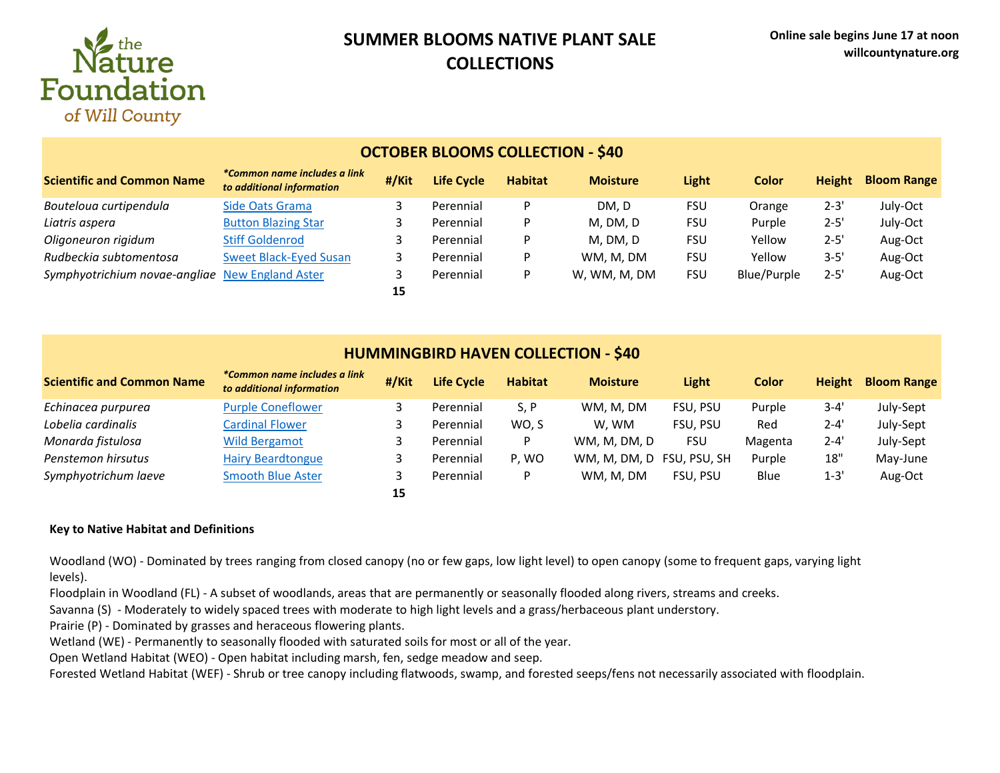

## **SUMMER BLOOMS NATIVE PLANT SALE COLLECTIONS**

| OCTODER DEOONIJ COLLECTION –                    |                                                           |       |            |                |                 |            |              |               |                    |  |
|-------------------------------------------------|-----------------------------------------------------------|-------|------------|----------------|-----------------|------------|--------------|---------------|--------------------|--|
| <b>Scientific and Common Name</b>               | *Common name includes a link<br>to additional information | #/Kit | Life Cycle | <b>Habitat</b> | <b>Moisture</b> | Light      | <b>Color</b> | <b>Height</b> | <b>Bloom Range</b> |  |
| Bouteloua curtipendula                          | Side Oats Grama                                           |       | Perennial  | D              | DM.D            | FSU        | Orange       | $2 - 3'$      | July-Oct           |  |
| Liatris aspera                                  | <b>Button Blazing Star</b>                                | 3     | Perennial  | D              | M, DM, D        | <b>FSU</b> | Purple       | $2 - 5'$      | July-Oct           |  |
| Oligoneuron rigidum                             | <b>Stiff Goldenrod</b>                                    | 3     | Perennial  | D              | M, DM, D        | <b>FSU</b> | Yellow       | $2 - 5'$      | Aug-Oct            |  |
| Rudbeckia subtomentosa                          | <b>Sweet Black-Eyed Susan</b>                             |       | Perennial  | P              | WM, M, DM       | <b>FSU</b> | Yellow       | $3 - 5'$      | Aug-Oct            |  |
| Symphyotrichium novae-angliae New England Aster |                                                           |       | Perennial  | P              | W, WM, M, DM    | <b>FSU</b> | Blue/Purple  | $2 - 5'$      | Aug-Oct            |  |
|                                                 |                                                           | 15    |            |                |                 |            |              |               |                    |  |

### **OCTOBER BLOOMS COLLECTION - \$40**

### **HUMMINGBIRD HAVEN COLLECTION - \$40**

| <b>Scientific and Common Name</b> | *Common name includes a link<br>to additional information | #/Kit | <b>Life Cycle</b> | <b>Habitat</b> | <b>Moisture</b> | Light        | <b>Color</b> | <b>Height</b> | <b>Bloom Range</b> |
|-----------------------------------|-----------------------------------------------------------|-------|-------------------|----------------|-----------------|--------------|--------------|---------------|--------------------|
| Echinacea purpurea                | <b>Purple Coneflower</b>                                  |       | Perennial         | S, P           | WM, M, DM       | FSU, PSU     | Purple       | $3 - 4'$      | July-Sept          |
| Lobelia cardinalis                | <b>Cardinal Flower</b>                                    |       | Perennial         | WO. S          | W. WM           | FSU. PSU     | Red          | $2 - 4'$      | July-Sept          |
| Monarda fistulosa                 | <b>Wild Bergamot</b>                                      |       | Perennial         | P              | WM, M, DM, D    | <b>FSU</b>   | Magenta      | $2 - 4'$      | July-Sept          |
| Penstemon hirsutus                | <b>Hairy Beardtongue</b>                                  |       | Perennial         | P. WO          | WM, M, DM, D    | FSU, PSU, SH | Purple       | 18"           | May-June           |
| Symphyotrichum laeve              | <b>Smooth Blue Aster</b>                                  |       | Perennial         | D              | WM. M. DM       | FSU. PSU     | Blue         | $1 - 3'$      | Aug-Oct            |
|                                   |                                                           | 15    |                   |                |                 |              |              |               |                    |

#### **Key to Native Habitat and Definitions**

Woodland (WO) - Dominated by trees ranging from closed canopy (no or few gaps, low light level) to open canopy (some to frequent gaps, varying light levels).

Floodplain in Woodland (FL) - A subset of woodlands, areas that are permanently or seasonally flooded along rivers, streams and creeks.

Savanna (S) - Moderately to widely spaced trees with moderate to high light levels and a grass/herbaceous plant understory.

Prairie (P) - Dominated by grasses and heraceous flowering plants.

Wetland (WE) - Permanently to seasonally flooded with saturated soils for most or all of the year.

Open Wetland Habitat (WEO) - Open habitat including marsh, fen, sedge meadow and seep.

Forested Wetland Habitat (WEF) - Shrub or tree canopy including flatwoods, swamp, and forested seeps/fens not necessarily associated with floodplain.